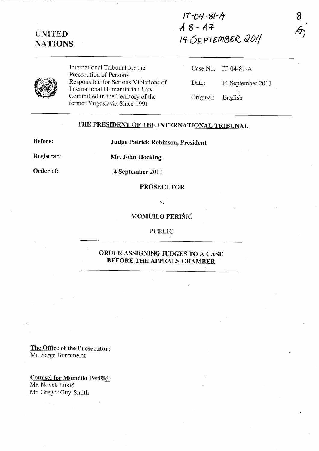# UNITED NATIONS

 $1T - 04 - 81 - A$ *A* g - **t4f**  /Lf 6~PIEfrI,,&lG *JOI/* 

8 ,  $\sim$  )



International Tribunal for the Prosecution of Persons Responsible for Serious Violations of International Humanitarian Law Committed in the Territory of the former Yugoslavia Since 1991

Case No.: IT-04-81-A Date: 14 September 2011 Original: English

### THE PRESIDENT OF THE INTERNATIONAL TRIBUNAL

Before:

Judge Patrick Robinson, President

Registrar:

Mr. John Hocking

Order of:

14 September 2011

#### PROSECUTOR

v.

MOMČILO PERIŠIĆ

### PUBLIC

## ORDER ASSIGNING JUDGES TO A CASE BEFORE THE APPEALS CHAMBER

The Office of the Prosecutor: Mr. Serge Brammertz

Counsel for Momčilo Perišić: Mr. Novak Lukié Mr. Gregor Guy-Smith